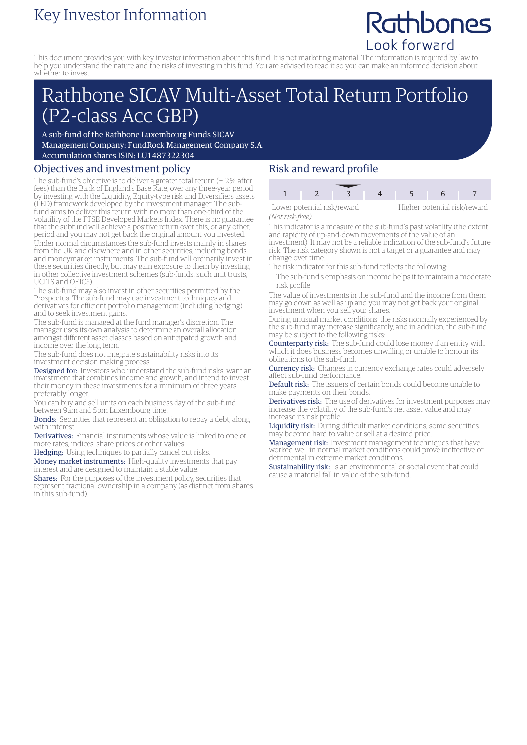# Key Investor Information

# Rathbones Look forward

This document provides you with key investor information about this fund. It is not marketing material. The information is required by law to help you understand the nature and the risks of investing in this fund. You are advised to read it so you can make an informed decision about whether to invest.

# Rathbone SICAV Multi-Asset Total Return Portfolio (P2-class Acc GBP)

A sub-fund of the Rathbone Luxembourg Funds SICAV Management Company: FundRock Management Company S.A. Accumulation shares ISIN: LU1487322304

## Objectives and investment policy

The sub-fund's objective is to deliver a greater total return (+ 2% after fees) than the Bank of England's Base Rate, over any three-year period by investing with the Liquidity, Equity-type risk and Diversifiers assets (LED) framework developed by the investment manager. The subfund aims to deliver this return with no more than one-third of the volatility of the FTSE Developed Markets Index. There is no guarantee that the subfund will achieve a positive return over this, or any other, period and you may not get back the original amount you invested. Under normal circumstances the sub-fund invests mainly in shares from the UK and elsewhere and in other securities, including bonds and moneymarket instruments. The sub-fund will ordinarily invest in these securities directly, but may gain exposure to them by investing in other collective investment schemes (sub-funds, such unit trusts, UCITS and OEICS).

The sub-fund may also invest in other securities permitted by the Prospectus. The sub-fund may use investment techniques and derivatives for efficient portfolio management (including hedging) and to seek investment gains.

The sub-fund is managed at the fund manager's discretion. The manager uses its own analysis to determine an overall allocation amongst different asset classes based on anticipated growth and income over the long term.

The sub-fund does not integrate sustainability risks into its investment decision making process.

Designed for: Investors who understand the sub-fund risks, want an investment that combines income and growth, and intend to invest their money in these investments for a minimum of three years, preferably longer.

You can buy and sell units on each business day of the sub-fund between 9am and 5pm Luxembourg time.

Bonds: Securities that represent an obligation to repay a debt, along with interest.

Derivatives: Financial instruments whose value is linked to one or more rates, indices, share prices or other values.

Hedging: Using techniques to partially cancel out risks.

Money market instruments: High-quality investments that pay interest and are designed to maintain a stable value.

Shares: For the purposes of the investment policy, securities that represent fractional ownership in a company (as distinct from shares in this sub-fund).

## Risk and reward profile



*(Not risk-free)*

This indicator is a measure of the sub-fund's past volatility (the extent and rapidity of up-and-down movements of the value of an investment). It may not be a reliable indication of the sub-fund's future risk. The risk category shown is not a target or a guarantee and may change over time.

- The risk indicator for this sub-fund reflects the following:
- The sub-fund's emphasis on income helps it to maintain a moderate risk profile.

The value of investments in the sub-fund and the income from them may go down as well as up and you may not get back your original investment when you sell your shares.

During unusual market conditions, the risks normally experienced by the sub-fund may increase significantly, and in addition, the sub-fund may be subject to the following risks:

Counterparty risk: The sub-fund could lose money if an entity with which it does business becomes unwilling or unable to honour its obligations to the sub-fund.

**Currency risk:** Changes in currency exchange rates could adversely affect sub-fund performance.

Default risk: The issuers of certain bonds could become unable to make payments on their bonds.

Derivatives risk: The use of derivatives for investment purposes may increase the volatility of the sub-fund's net asset value and may increase its risk profile.

Liquidity risk: During difficult market conditions, some securities may become hard to value or sell at a desired price.

Management risk: Investment management techniques that have worked well in normal market conditions could prove ineffective or detrimental in extreme market conditions.

Sustainability risk: Is an environmental or social event that could cause a material fall in value of the sub-fund.